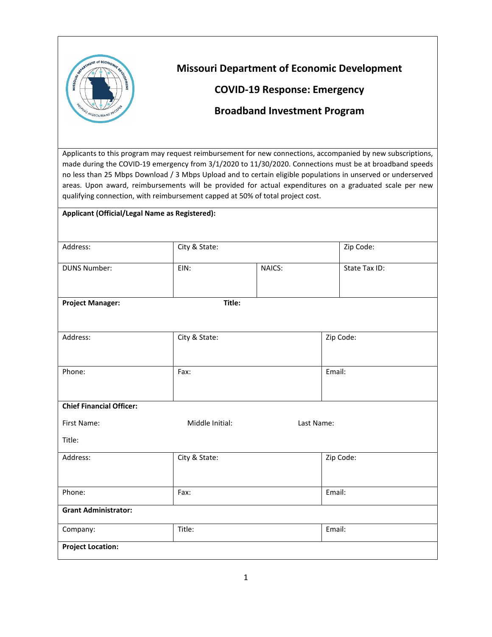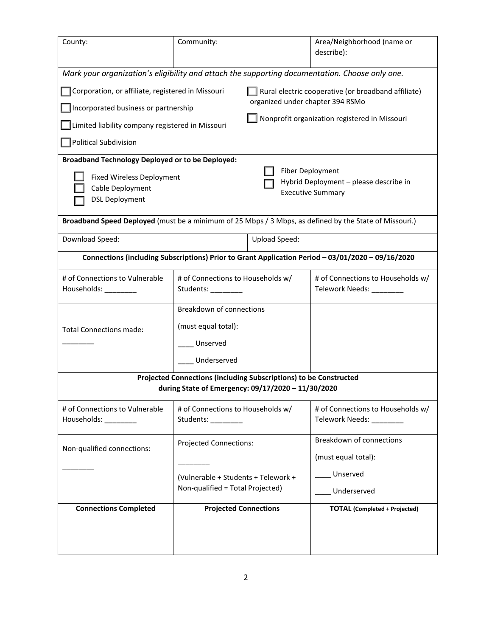| County:                                                                                                                                                                                                                            | Community:                                                                                               |                      | Area/Neighborhood (name or<br>describe):                       |  |  |  |
|------------------------------------------------------------------------------------------------------------------------------------------------------------------------------------------------------------------------------------|----------------------------------------------------------------------------------------------------------|----------------------|----------------------------------------------------------------|--|--|--|
| Mark your organization's eligibility and attach the supporting documentation. Choose only one.<br>Corporation, or affiliate, registered in Missouri<br>Rural electric cooperative (or broadband affiliate)                         |                                                                                                          |                      |                                                                |  |  |  |
| organized under chapter 394 RSMo<br>Incorporated business or partnership                                                                                                                                                           |                                                                                                          |                      |                                                                |  |  |  |
| Nonprofit organization registered in Missouri<br>Limited liability company registered in Missouri                                                                                                                                  |                                                                                                          |                      |                                                                |  |  |  |
| <b>Political Subdivision</b>                                                                                                                                                                                                       |                                                                                                          |                      |                                                                |  |  |  |
| <b>Broadband Technology Deployed or to be Deployed:</b><br>Fiber Deployment<br><b>Fixed Wireless Deployment</b><br>Hybrid Deployment - please describe in<br>Cable Deployment<br><b>Executive Summary</b><br><b>DSL Deployment</b> |                                                                                                          |                      |                                                                |  |  |  |
| Broadband Speed Deployed (must be a minimum of 25 Mbps / 3 Mbps, as defined by the State of Missouri.)                                                                                                                             |                                                                                                          |                      |                                                                |  |  |  |
| Download Speed:                                                                                                                                                                                                                    |                                                                                                          | <b>Upload Speed:</b> |                                                                |  |  |  |
| Connections (including Subscriptions) Prior to Grant Application Period - 03/01/2020 - 09/16/2020                                                                                                                                  |                                                                                                          |                      |                                                                |  |  |  |
| # of Connections to Vulnerable<br>Households: __________                                                                                                                                                                           | # of Connections to Households w/<br>Students: ________                                                  |                      | # of Connections to Households w/<br>Telework Needs: _________ |  |  |  |
| <b>Total Connections made:</b>                                                                                                                                                                                                     | Breakdown of connections<br>(must equal total):<br>Unserved<br>Underserved                               |                      |                                                                |  |  |  |
| Projected Connections (including Subscriptions) to be Constructed<br>during State of Emergency: 09/17/2020 - 11/30/2020                                                                                                            |                                                                                                          |                      |                                                                |  |  |  |
| # of Connections to Vulnerable<br>Households: _________                                                                                                                                                                            | # of Connections to Households w/<br>Students: _________                                                 |                      | # of Connections to Households w/<br>Telework Needs: ________  |  |  |  |
| Non-qualified connections:                                                                                                                                                                                                         | <b>Projected Connections:</b><br>(Vulnerable + Students + Telework +<br>Non-qualified = Total Projected) |                      | Breakdown of connections<br>(must equal total):                |  |  |  |
|                                                                                                                                                                                                                                    |                                                                                                          |                      | Unserved<br>Underserved                                        |  |  |  |
| <b>Connections Completed</b>                                                                                                                                                                                                       | <b>Projected Connections</b>                                                                             |                      | <b>TOTAL</b> (Completed + Projected)                           |  |  |  |
|                                                                                                                                                                                                                                    |                                                                                                          |                      |                                                                |  |  |  |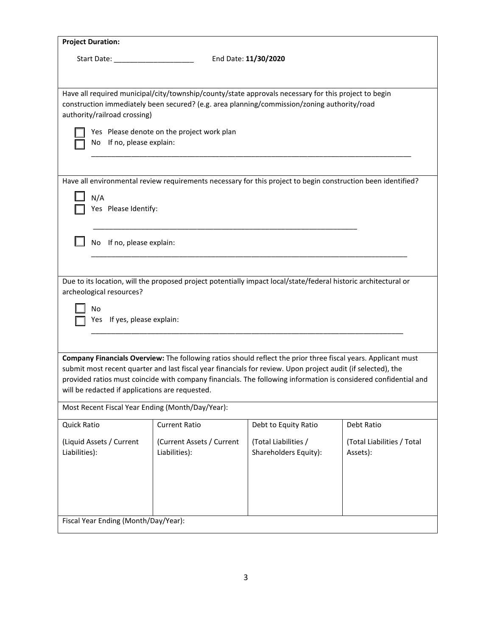| <b>Project Duration:</b>                                                                                                                                                                                                        |                                                                                                                 |                                                                                                              |                                        |  |  |  |
|---------------------------------------------------------------------------------------------------------------------------------------------------------------------------------------------------------------------------------|-----------------------------------------------------------------------------------------------------------------|--------------------------------------------------------------------------------------------------------------|----------------------------------------|--|--|--|
|                                                                                                                                                                                                                                 | End Date: 11/30/2020<br>Start Date: ______________________                                                      |                                                                                                              |                                        |  |  |  |
|                                                                                                                                                                                                                                 |                                                                                                                 |                                                                                                              |                                        |  |  |  |
| Have all required municipal/city/township/county/state approvals necessary for this project to begin<br>construction immediately been secured? (e.g. area planning/commission/zoning authority/road                             |                                                                                                                 |                                                                                                              |                                        |  |  |  |
| authority/railroad crossing)                                                                                                                                                                                                    |                                                                                                                 |                                                                                                              |                                        |  |  |  |
|                                                                                                                                                                                                                                 | Yes Please denote on the project work plan                                                                      |                                                                                                              |                                        |  |  |  |
| No If no, please explain:                                                                                                                                                                                                       |                                                                                                                 |                                                                                                              |                                        |  |  |  |
|                                                                                                                                                                                                                                 |                                                                                                                 |                                                                                                              |                                        |  |  |  |
|                                                                                                                                                                                                                                 |                                                                                                                 | Have all environmental review requirements necessary for this project to begin construction been identified? |                                        |  |  |  |
| N/A<br>Yes Please Identify:                                                                                                                                                                                                     |                                                                                                                 |                                                                                                              |                                        |  |  |  |
|                                                                                                                                                                                                                                 |                                                                                                                 |                                                                                                              |                                        |  |  |  |
| No If no, please explain:                                                                                                                                                                                                       |                                                                                                                 |                                                                                                              |                                        |  |  |  |
|                                                                                                                                                                                                                                 |                                                                                                                 |                                                                                                              |                                        |  |  |  |
|                                                                                                                                                                                                                                 |                                                                                                                 |                                                                                                              |                                        |  |  |  |
| archeological resources?                                                                                                                                                                                                        | Due to its location, will the proposed project potentially impact local/state/federal historic architectural or |                                                                                                              |                                        |  |  |  |
| No                                                                                                                                                                                                                              |                                                                                                                 |                                                                                                              |                                        |  |  |  |
| Yes If yes, please explain:                                                                                                                                                                                                     |                                                                                                                 |                                                                                                              |                                        |  |  |  |
|                                                                                                                                                                                                                                 |                                                                                                                 |                                                                                                              |                                        |  |  |  |
| Company Financials Overview: The following ratios should reflect the prior three fiscal years. Applicant must                                                                                                                   |                                                                                                                 |                                                                                                              |                                        |  |  |  |
| submit most recent quarter and last fiscal year financials for review. Upon project audit (if selected), the<br>provided ratios must coincide with company financials. The following information is considered confidential and |                                                                                                                 |                                                                                                              |                                        |  |  |  |
| will be redacted if applications are requested.                                                                                                                                                                                 |                                                                                                                 |                                                                                                              |                                        |  |  |  |
| Most Recent Fiscal Year Ending (Month/Day/Year):                                                                                                                                                                                |                                                                                                                 |                                                                                                              |                                        |  |  |  |
| Quick Ratio                                                                                                                                                                                                                     | <b>Current Ratio</b>                                                                                            | Debt to Equity Ratio                                                                                         | Debt Ratio                             |  |  |  |
| (Liquid Assets / Current<br>Liabilities):                                                                                                                                                                                       | (Current Assets / Current<br>Liabilities):                                                                      | (Total Liabilities /<br>Shareholders Equity):                                                                | (Total Liabilities / Total<br>Assets): |  |  |  |
|                                                                                                                                                                                                                                 |                                                                                                                 |                                                                                                              |                                        |  |  |  |
|                                                                                                                                                                                                                                 |                                                                                                                 |                                                                                                              |                                        |  |  |  |
|                                                                                                                                                                                                                                 |                                                                                                                 |                                                                                                              |                                        |  |  |  |
| Fiscal Year Ending (Month/Day/Year):                                                                                                                                                                                            |                                                                                                                 |                                                                                                              |                                        |  |  |  |
|                                                                                                                                                                                                                                 |                                                                                                                 |                                                                                                              |                                        |  |  |  |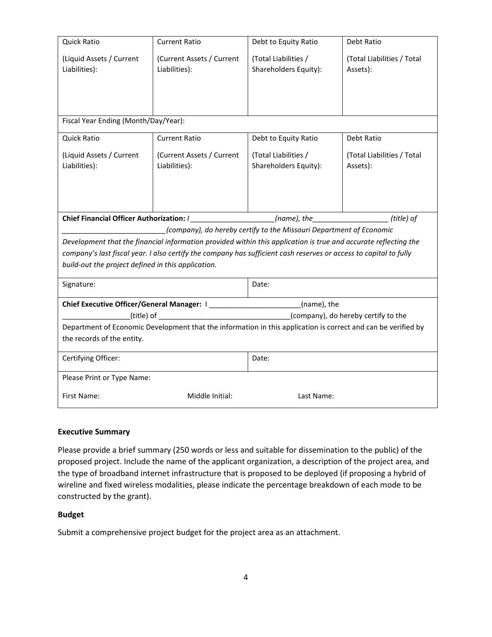| Quick Ratio                                                                                                                                                             | <b>Current Ratio</b>      | Debt to Equity Ratio                                                | Debt Ratio                 |  |
|-------------------------------------------------------------------------------------------------------------------------------------------------------------------------|---------------------------|---------------------------------------------------------------------|----------------------------|--|
| (Liquid Assets / Current                                                                                                                                                | (Current Assets / Current | (Total Liabilities /                                                | (Total Liabilities / Total |  |
| Liabilities):                                                                                                                                                           | Liabilities):             | Shareholders Equity):                                               | Assets):                   |  |
|                                                                                                                                                                         |                           |                                                                     |                            |  |
|                                                                                                                                                                         |                           |                                                                     |                            |  |
|                                                                                                                                                                         |                           |                                                                     |                            |  |
| Fiscal Year Ending (Month/Day/Year):                                                                                                                                    |                           |                                                                     |                            |  |
| <b>Quick Ratio</b>                                                                                                                                                      | <b>Current Ratio</b>      | Debt to Equity Ratio                                                | Debt Ratio                 |  |
| (Liquid Assets / Current                                                                                                                                                | (Current Assets / Current | (Total Liabilities /                                                | (Total Liabilities / Total |  |
| Liabilities):                                                                                                                                                           | Liabilities):             | Shareholders Equity):                                               | Assets):                   |  |
|                                                                                                                                                                         |                           |                                                                     |                            |  |
|                                                                                                                                                                         |                           |                                                                     |                            |  |
|                                                                                                                                                                         |                           |                                                                     |                            |  |
| Chief Financial Officer Authorization: /<br>$(name)$ , the $(title)$ of                                                                                                 |                           |                                                                     |                            |  |
|                                                                                                                                                                         |                           | (company), do hereby certify to the Missouri Department of Economic |                            |  |
| Development that the financial information provided within this application is true and accurate reflecting the                                                         |                           |                                                                     |                            |  |
| company's last fiscal year. I also certify the company has sufficient cash reserves or access to capital to fully<br>build-out the project defined in this application. |                           |                                                                     |                            |  |
|                                                                                                                                                                         |                           |                                                                     |                            |  |
| Signature:                                                                                                                                                              |                           | Date:                                                               |                            |  |
| Chief Executive Officer/General Manager: I ______________________(name), the                                                                                            |                           |                                                                     |                            |  |
|                                                                                                                                                                         |                           |                                                                     |                            |  |
| Department of Economic Development that the information in this application is correct and can be verified by                                                           |                           |                                                                     |                            |  |
| the records of the entity.                                                                                                                                              |                           |                                                                     |                            |  |
| Certifying Officer:                                                                                                                                                     |                           | Date:                                                               |                            |  |
| Please Print or Type Name:                                                                                                                                              |                           |                                                                     |                            |  |
| First Name:                                                                                                                                                             | Middle Initial:           | Last Name:                                                          |                            |  |
|                                                                                                                                                                         |                           |                                                                     |                            |  |

#### **Executive Summary**

Please provide a brief summary (250 words or less and suitable for dissemination to the public) of the proposed project. Include the name of the applicant organization, a description of the project area, and the type of broadband internet infrastructure that is proposed to be deployed (if proposing a hybrid of wireline and fixed wireless modalities, please indicate the percentage breakdown of each mode to be constructed by the grant).

#### **Budget**

Submit a comprehensive project budget for the project area as an attachment.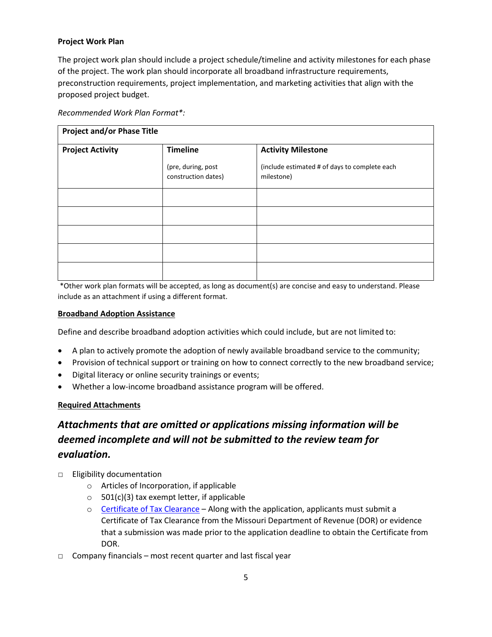### **Project Work Plan**

The project work plan should include a project schedule/timeline and activity milestones for each phase of the project. The work plan should incorporate all broadband infrastructure requirements, preconstruction requirements, project implementation, and marketing activities that align with the proposed project budget.

|--|

| <b>Project and/or Phase Title</b> |                                           |                                                             |
|-----------------------------------|-------------------------------------------|-------------------------------------------------------------|
| <b>Project Activity</b>           | <b>Timeline</b>                           | <b>Activity Milestone</b>                                   |
|                                   | (pre, during, post<br>construction dates) | (include estimated # of days to complete each<br>milestone) |
|                                   |                                           |                                                             |
|                                   |                                           |                                                             |
|                                   |                                           |                                                             |
|                                   |                                           |                                                             |
|                                   |                                           |                                                             |

\*Other work plan formats will be accepted, as long as document(s) are concise and easy to understand. Please include as an attachment if using a different format.

#### **Broadband Adoption Assistance**

Define and describe broadband adoption activities which could include, but are not limited to:

- A plan to actively promote the adoption of newly available broadband service to the community;
- Provision of technical support or training on how to connect correctly to the new broadband service;
- Digital literacy or online security trainings or events;
- Whether a low-income broadband assistance program will be offered.

#### **Required Attachments**

# *Attachments that are omitted or applications missing information will be deemed incomplete and will not be submitted to the review team for evaluation.*

- □ Eligibility documentation
	- o Articles of Incorporation, if applicable
	- $\circ$  501(c)(3) tax exempt letter, if applicable
	- $\circ$  [Certificate of Tax Clearance](https://dor.mo.gov/faq/business/taxclear.php)  Along with the application, applicants must submit a Certificate of Tax Clearance from the Missouri Department of Revenue (DOR) or evidence that a submission was made prior to the application deadline to obtain the Certificate from DOR.
- $\Box$  Company financials most recent quarter and last fiscal year